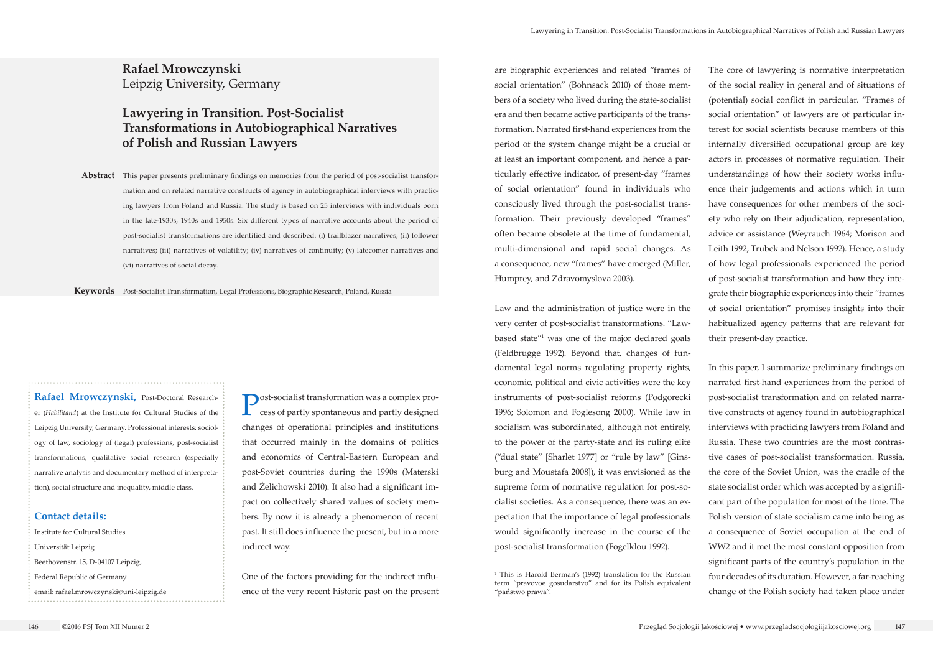**Post-socialist transformation was a complex pro**cess of partly spontaneous and partly designed changes of operational principles and institutions that occurred mainly in the domains of politics and economics of Central-Eastern European and post-Soviet countries during the 1990s (Materski and Żelichowski 2010). It also had a significant impact on collectively shared values of society members. By now it is already a phenomenon of recent past. It still does influence the present, but in a more indirect way.

One of the factors providing for the indirect influence of the very recent historic past on the present

**Rafael Mrowczynski** Leipzig University, Germany

# **Lawyering in Transition. Post-Socialist Transformations in Autobiographical Narratives of Polish and Russian Lawyers**

**Rafael Mrowczynski,** Post-Doctoral Researcher (*Habilitand*) at the Institute for Cultural Studies of the Leipzig University, Germany. Professional interests: sociology of law, sociology of (legal) professions, post-socialist transformations, qualitative social research (especially narrative analysis and documentary method of interpretation), social structure and inequality, middle class.

#### **Contact details:**

Institute for Cultural Studies Universität Leipzig Beethovenstr. 15, D-04107 Leipzig, Federal Republic of Germany email: rafael.mrowczynski@uni-leipzig.de

**Abstract**  This paper presents preliminary findings on memories from the period of post-socialist transformation and on related narrative constructs of agency in autobiographical interviews with practicing lawyers from Poland and Russia. The study is based on 25 interviews with individuals born in the late-1930s, 1940s and 1950s. Six different types of narrative accounts about the period of post-socialist transformations are identified and described: (i) trailblazer narratives; (ii) follower narratives; (iii) narratives of volatility; (iv) narratives of continuity; (v) latecomer narratives and (vi) narratives of social decay.

**Keywords** Post-Socialist Transformation, Legal Professions, Biographic Research, Poland, Russia

are biographic experiences and related "frames of social orientation" (Bohnsack 2010) of those members of a society who lived during the state-socialist era and then became active participants of the transformation. Narrated first-hand experiences from the period of the system change might be a crucial or at least an important component, and hence a particularly effective indicator, of present-day "frames of social orientation" found in individuals who consciously lived through the post-socialist transformation. Their previously developed "frames" often became obsolete at the time of fundamental, multi-dimensional and rapid social changes. As a consequence, new "frames" have emerged (Miller, Humprey, and Zdravomyslova 2003).

Law and the administration of justice were in the very center of post-socialist transformations. "Lawbased state"1 was one of the major declared goals (Feldbrugge 1992). Beyond that, changes of fundamental legal norms regulating property rights, economic, political and civic activities were the key instruments of post-socialist reforms (Podgorecki 1996; Solomon and Foglesong 2000). While law in socialism was subordinated, although not entirely, to the power of the party-state and its ruling elite ("dual state" [Sharlet 1977] or "rule by law" [Ginsburg and Moustafa 2008]), it was envisioned as the supreme form of normative regulation for post-socialist societies. As a consequence, there was an expectation that the importance of legal professionals would significantly increase in the course of the post-socialist transformation (Fogelklou 1992).

The core of lawyering is normative interpretation of the social reality in general and of situations of (potential) social conflict in particular. "Frames of social orientation" of lawyers are of particular interest for social scientists because members of this internally diversified occupational group are key actors in processes of normative regulation. Their understandings of how their society works influence their judgements and actions which in turn have consequences for other members of the society who rely on their adjudication, representation, advice or assistance (Weyrauch 1964; Morison and Leith 1992; Trubek and Nelson 1992). Hence, a study of how legal professionals experienced the period of post-socialist transformation and how they integrate their biographic experiences into their "frames of social orientation" promises insights into their habitualized agency patterns that are relevant for their present-day practice.

In this paper, I summarize preliminary findings on narrated first-hand experiences from the period of post-socialist transformation and on related narrative constructs of agency found in autobiographical interviews with practicing lawyers from Poland and Russia. These two countries are the most contrastive cases of post-socialist transformation. Russia, the core of the Soviet Union, was the cradle of the state socialist order which was accepted by a significant part of the population for most of the time. The Polish version of state socialism came into being as a consequence of Soviet occupation at the end of WW2 and it met the most constant opposition from significant parts of the country's population in the four decades of its duration. However, a far-reaching change of the Polish society had taken place under

<sup>&</sup>lt;sup>1</sup> This is Harold Berman's (1992) translation for the Russian term "pravovoe gosudarstvo" and for its Polish equivalent "państwo prawa".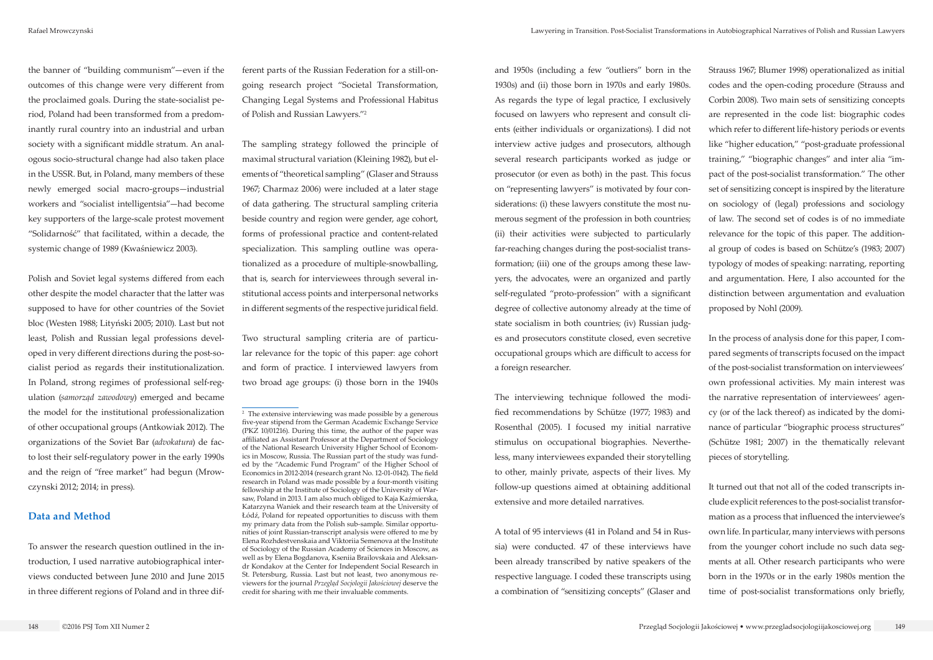the banner of "building communism"—even if the outcomes of this change were very different from the proclaimed goals. During the state-socialist period, Poland had been transformed from a predominantly rural country into an industrial and urban society with a significant middle stratum. An analogous socio-structural change had also taken place in the USSR. But, in Poland, many members of these newly emerged social macro-groups—industrial workers and "socialist intelligentsia"—had become key supporters of the large-scale protest movement "Solidarność" that facilitated, within a decade, the systemic change of 1989 (Kwaśniewicz 2003).

Polish and Soviet legal systems differed from each other despite the model character that the latter was supposed to have for other countries of the Soviet bloc (Westen 1988; Lityński 2005; 2010). Last but not least, Polish and Russian legal professions developed in very different directions during the post-socialist period as regards their institutionalization. In Poland, strong regimes of professional self-regulation (*samorząd zawodowy*) emerged and became the model for the institutional professionalization of other occupational groups (Antkowiak 2012). The organizations of the Soviet Bar (*advokatura*) de facto lost their self-regulatory power in the early 1990s and the reign of "free market" had begun (Mrowczynski 2012; 2014; in press).

## **Data and Method**

To answer the research question outlined in the introduction, I used narrative autobiographical interviews conducted between June 2010 and June 2015 in three different regions of Poland and in three dif-

ferent parts of the Russian Federation for a still-ongoing research project "Societal Transformation, Changing Legal Systems and Professional Habitus of Polish and Russian Lawyers."2

The sampling strategy followed the principle of maximal structural variation (Kleining 1982), but elements of "theoretical sampling" (Glaser and Strauss 1967; Charmaz 2006) were included at a later stage of data gathering. The structural sampling criteria beside country and region were gender, age cohort, forms of professional practice and content-related specialization. This sampling outline was operationalized as a procedure of multiple-snowballing, that is, search for interviewees through several institutional access points and interpersonal networks in different segments of the respective juridical field.

Two structural sampling criteria are of particular relevance for the topic of this paper: age cohort and form of practice. I interviewed lawyers from two broad age groups: (i) those born in the 1940s and 1950s (including a few "outliers" born in the 1930s) and (ii) those born in 1970s and early 1980s. As regards the type of legal practice, I exclusively focused on lawyers who represent and consult clients (either individuals or organizations). I did not interview active judges and prosecutors, although several research participants worked as judge or prosecutor (or even as both) in the past. This focus on "representing lawyers" is motivated by four considerations: (i) these lawyers constitute the most numerous segment of the profession in both countries; (ii) their activities were subjected to particularly far-reaching changes during the post-socialist transformation; (iii) one of the groups among these lawyers, the advocates, were an organized and partly self-regulated "proto-profession" with a significant degree of collective autonomy already at the time of state socialism in both countries; (iv) Russian judges and prosecutors constitute closed, even secretive occupational groups which are difficult to access for a foreign researcher.

The interviewing technique followed the modified recommendations by Schütze (1977; 1983) and Rosenthal (2005). I focused my initial narrative stimulus on occupational biographies. Nevertheless, many interviewees expanded their storytelling to other, mainly private, aspects of their lives. My follow-up questions aimed at obtaining additional extensive and more detailed narratives.

A total of 95 interviews (41 in Poland and 54 in Russia) were conducted. 47 of these interviews have been already transcribed by native speakers of the respective language. I coded these transcripts using a combination of "sensitizing concepts" (Glaser and Strauss 1967; Blumer 1998) operationalized as initial codes and the open-coding procedure (Strauss and Corbin 2008). Two main sets of sensitizing concepts are represented in the code list: biographic codes which refer to different life-history periods or events like "higher education," "post-graduate professional training," "biographic changes" and inter alia "impact of the post-socialist transformation." The other set of sensitizing concept is inspired by the literature on sociology of (legal) professions and sociology of law. The second set of codes is of no immediate relevance for the topic of this paper. The additional group of codes is based on Schütze's (1983; 2007) typology of modes of speaking: narrating, reporting and argumentation. Here, I also accounted for the distinction between argumentation and evaluation proposed by Nohl (2009).

In the process of analysis done for this paper, I compared segments of transcripts focused on the impact of the post-socialist transformation on interviewees' own professional activities. My main interest was the narrative representation of interviewees' agency (or of the lack thereof) as indicated by the dominance of particular "biographic process structures" (Schütze 1981; 2007) in the thematically relevant pieces of storytelling.

It turned out that not all of the coded transcripts include explicit references to the post-socialist transformation as a process that influenced the interviewee's own life. In particular, many interviews with persons from the younger cohort include no such data segments at all. Other research participants who were born in the 1970s or in the early 1980s mention the time of post-socialist transformations only briefly,

<sup>2</sup> The extensive interviewing was made possible by a generous five-year stipend from the German Academic Exchange Service (PKZ 10/01216). During this time, the author of the paper was affiliated as Assistant Professor at the Department of Sociology of the National Research University Higher School of Economics in Moscow, Russia. The Russian part of the study was funded by the "Academic Fund Program" of the Higher School of Economics in 2012-2014 (research grant No. 12-01-0142). The field research in Poland was made possible by a four-month visiting fellowship at the Institute of Sociology of the University of Warsaw, Poland in 2013. I am also much obliged to Kaja Kaźmierska, Katarzyna Waniek and their research team at the University of Łódź, Poland for repeated opportunities to discuss with them my primary data from the Polish sub-sample. Similar opportunities of joint Russian-transcript analysis were offered to me by Elena Rozhdestvenskaia and Viktoriia Semenova at the Institute of Sociology of the Russian Academy of Sciences in Moscow, as well as by Elena Bogdanova, Kseniia Brailovskaia and Aleksandr Kondakov at the Center for Independent Social Research in St. Petersburg, Russia. Last but not least, two anonymous reviewers for the journal *Przegląd Socjologii Jakościowej* deserve the credit for sharing with me their invaluable comments.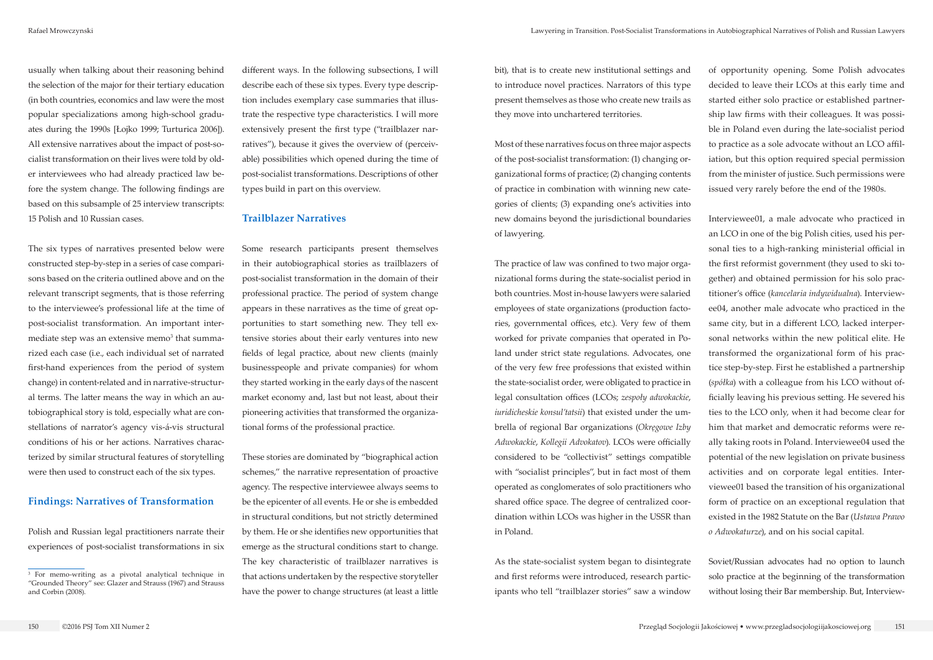usually when talking about their reasoning behind the selection of the major for their tertiary education (in both countries, economics and law were the most popular specializations among high-school graduates during the 1990s [Łojko 1999; Turturica 2006]). All extensive narratives about the impact of post-socialist transformation on their lives were told by older interviewees who had already practiced law before the system change. The following findings are based on this subsample of 25 interview transcripts: 15 Polish and 10 Russian cases.

The six types of narratives presented below were constructed step-by-step in a series of case comparisons based on the criteria outlined above and on the relevant transcript segments, that is those referring to the interviewee's professional life at the time of post-socialist transformation. An important intermediate step was an extensive memo<sup>3</sup> that summarized each case (i.e., each individual set of narrated first-hand experiences from the period of system change) in content-related and in narrative-structural terms. The latter means the way in which an autobiographical story is told, especially what are constellations of narrator's agency vis-á-vis structural conditions of his or her actions. Narratives characterized by similar structural features of storytelling were then used to construct each of the six types.

#### **Findings: Narratives of Transformation**

Polish and Russian legal practitioners narrate their experiences of post-socialist transformations in six

different ways. In the following subsections, I will describe each of these six types. Every type description includes exemplary case summaries that illustrate the respective type characteristics. I will more extensively present the first type ("trailblazer narratives"), because it gives the overview of (perceivable) possibilities which opened during the time of post-socialist transformations. Descriptions of other types build in part on this overview.

### **Trailblazer Narratives**

Some research participants present themselves in their autobiographical stories as trailblazers of post-socialist transformation in the domain of their professional practice. The period of system change appears in these narratives as the time of great opportunities to start something new. They tell extensive stories about their early ventures into new fields of legal practice, about new clients (mainly businesspeople and private companies) for whom they started working in the early days of the nascent market economy and, last but not least, about their pioneering activities that transformed the organizational forms of the professional practice.

These stories are dominated by "biographical action schemes," the narrative representation of proactive agency. The respective interviewee always seems to be the epicenter of all events. He or she is embedded in structural conditions, but not strictly determined by them. He or she identifies new opportunities that emerge as the structural conditions start to change. The key characteristic of trailblazer narratives is that actions undertaken by the respective storyteller have the power to change structures (at least a little

bit), that is to create new institutional settings and to introduce novel practices. Narrators of this type present themselves as those who create new trails as they move into unchartered territories.

Most of these narratives focus on three major aspects of the post-socialist transformation: (1) changing organizational forms of practice; (2) changing contents of practice in combination with winning new categories of clients; (3) expanding one's activities into new domains beyond the jurisdictional boundaries of lawyering.

The practice of law was confined to two major organizational forms during the state-socialist period in both countries. Most in-house lawyers were salaried employees of state organizations (production factories, governmental offices, etc.). Very few of them worked for private companies that operated in Poland under strict state regulations. Advocates, one of the very few free professions that existed within the state-socialist order, were obligated to practice in legal consultation offices (LCOs; *zespoły adwokackie*, *iuridicheskie konsul'tatsii*) that existed under the umbrella of regional Bar organizations (*Okręgowe Izby Adwokackie*, *Kollegii Advokatov*). LCOs were officially considered to be "collectivist" settings compatible with "socialist principles", but in fact most of them operated as conglomerates of solo practitioners who shared office space. The degree of centralized coordination within LCOs was higher in the USSR than in Poland.

As the state-socialist system began to disintegrate and first reforms were introduced, research participants who tell "trailblazer stories" saw a window

of opportunity opening. Some Polish advocates decided to leave their LCOs at this early time and started either solo practice or established partnership law firms with their colleagues. It was possible in Poland even during the late-socialist period to practice as a sole advocate without an LCO affiliation, but this option required special permission from the minister of justice. Such permissions were issued very rarely before the end of the 1980s.

Interviewee01, a male advocate who practiced in an LCO in one of the big Polish cities, used his personal ties to a high-ranking ministerial official in the first reformist government (they used to ski together) and obtained permission for his solo practitioner's office (*kancelaria indywidualna*). Interviewee04, another male advocate who practiced in the same city, but in a different LCO, lacked interpersonal networks within the new political elite. He transformed the organizational form of his practice step-by-step. First he established a partnership (*spółka*) with a colleague from his LCO without officially leaving his previous setting. He severed his ties to the LCO only, when it had become clear for him that market and democratic reforms were really taking roots in Poland. Interviewee04 used the potential of the new legislation on private business activities and on corporate legal entities. Interviewee01 based the transition of his organizational form of practice on an exceptional regulation that existed in the 1982 Statute on the Bar (*Ustawa Prawo o Adwokaturze*), and on his social capital.

Soviet/Russian advocates had no option to launch solo practice at the beginning of the transformation without losing their Bar membership. But, Interview-

<sup>3</sup> For memo-writing as a pivotal analytical technique in "Grounded Theory" see: Glazer and Strauss (1967) and Strauss and Corbin (2008).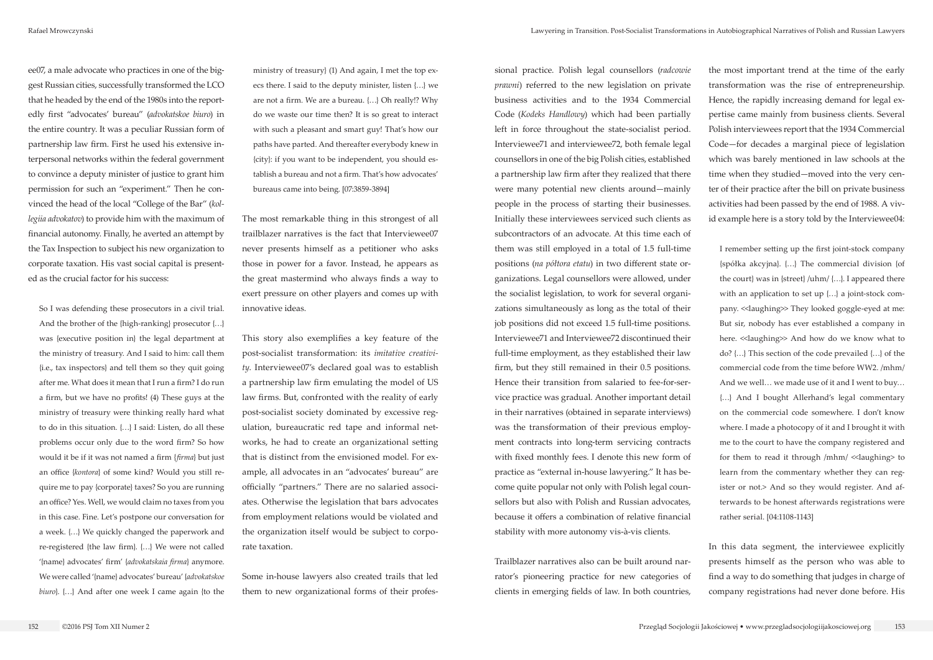So I was defending these prosecutors in a civil trial. And the brother of the {high-ranking} prosecutor {…} was {executive position in} the legal department at the ministry of treasury. And I said to him: call them {i.e., tax inspectors} and tell them so they quit going after me. What does it mean that I run a firm? I do run a firm, but we have no profits! (4) These guys at the ministry of treasury were thinking really hard what to do in this situation. {…} I said: Listen, do all these problems occur only due to the word firm? So how would it be if it was not named a firm {*firma*} but just an office {*kontora*} of some kind? Would you still require me to pay {corporate} taxes? So you are running an office? Yes. Well, we would claim no taxes from you in this case. Fine. Let's postpone our conversation for a week. {…} We quickly changed the paperwork and re-registered {the law firm}. {…} We were not called '{name} advocates' firm' {*advokatskaia firma*} anymore. We were called '{name} advocates' bureau' {*advokatskoe biuro*}. {...} And after one week I came again {to the

ee07, a male advocate who practices in one of the biggest Russian cities, successfully transformed the LCO that he headed by the end of the 1980s into the reportedly first "advocates' bureau" (*advokatskoe biuro*) in the entire country. It was a peculiar Russian form of partnership law firm. First he used his extensive interpersonal networks within the federal government to convince a deputy minister of justice to grant him permission for such an "experiment." Then he convinced the head of the local "College of the Bar" (*kollegiia advokatov*) to provide him with the maximum of financial autonomy. Finally, he averted an attempt by the Tax Inspection to subject his new organization to corporate taxation. His vast social capital is presented as the crucial factor for his success:

ministry of treasury} (1) And again, I met the top execs there. I said to the deputy minister, listen {…} we are not a firm. We are a bureau. {…} Oh really!? Why do we waste our time then? It is so great to interact with such a pleasant and smart guy! That's how our paths have parted. And thereafter everybody knew in {city}: if you want to be independent, you should establish a bureau and not a firm. That's how advocates' bureaus came into being. [07:3859-3894]

The most remarkable thing in this strongest of all trailblazer narratives is the fact that Interviewee07 never presents himself as a petitioner who asks those in power for a favor. Instead, he appears as the great mastermind who always finds a way to exert pressure on other players and comes up with innovative ideas.

This story also exemplifies a key feature of the post-socialist transformation: its *imitative creativity*. Interviewee07's declared goal was to establish a partnership law firm emulating the model of US law firms. But, confronted with the reality of early post-socialist society dominated by excessive regulation, bureaucratic red tape and informal networks, he had to create an organizational setting that is distinct from the envisioned model. For example, all advocates in an "advocates' bureau" are officially "partners." There are no salaried associates. Otherwise the legislation that bars advocates from employment relations would be violated and the organization itself would be subject to corporate taxation.

Some in-house lawyers also created trails that led them to new organizational forms of their professional practice. Polish legal counsellors (*radcowie prawni*) referred to the new legislation on private business activities and to the 1934 Commercial Code (*Kodeks Handlowy*) which had been partially left in force throughout the state-socialist period. Interviewee71 and interviewee72, both female legal counsellors in one of the big Polish cities, established a partnership law firm after they realized that there were many potential new clients around—mainly people in the process of starting their businesses. Initially these interviewees serviced such clients as subcontractors of an advocate. At this time each of them was still employed in a total of 1.5 full-time positions (*na półtora etatu*) in two different state organizations. Legal counsellors were allowed, under the socialist legislation, to work for several organizations simultaneously as long as the total of their job positions did not exceed 1.5 full-time positions. Interviewee71 and Interviewee72 discontinued their full-time employment, as they established their law firm, but they still remained in their 0.5 positions. Hence their transition from salaried to fee-for-service practice was gradual. Another important detail in their narratives (obtained in separate interviews) was the transformation of their previous employment contracts into long-term servicing contracts with fixed monthly fees. I denote this new form of practice as "external in-house lawyering." It has become quite popular not only with Polish legal counsellors but also with Polish and Russian advocates, because it offers a combination of relative financial stability with more autonomy vis-à-vis clients.

Trailblazer narratives also can be built around narrator's pioneering practice for new categories of clients in emerging fields of law. In both countries,

the most important trend at the time of the early transformation was the rise of entrepreneurship. Hence, the rapidly increasing demand for legal expertise came mainly from business clients. Several Polish interviewees report that the 1934 Commercial Code—for decades a marginal piece of legislation which was barely mentioned in law schools at the time when they studied—moved into the very center of their practice after the bill on private business activities had been passed by the end of 1988. A vivid example here is a story told by the Interviewee04:

I remember setting up the first joint-stock company {spółka akcyjna}. {…} The commercial division {of the court} was in {street} /uhm/ {…}. I appeared there with an application to set up {…} a joint-stock company. «laughing» They looked goggle-eyed at me: But sir, nobody has ever established a company in here. << laughing >> And how do we know what to do? {…} This section of the code prevailed {…} of the commercial code from the time before WW2. /mhm/ And we well… we made use of it and I went to buy… {…} And I bought Allerhand's legal commentary on the commercial code somewhere. I don't know where. I made a photocopy of it and I brought it with me to the court to have the company registered and for them to read it through /mhm/ <<laughing> to learn from the commentary whether they can register or not.> And so they would register. And afterwards to be honest afterwards registrations were rather serial. [04:1108-1143]

In this data segment, the interviewee explicitly presents himself as the person who was able to find a way to do something that judges in charge of company registrations had never done before. His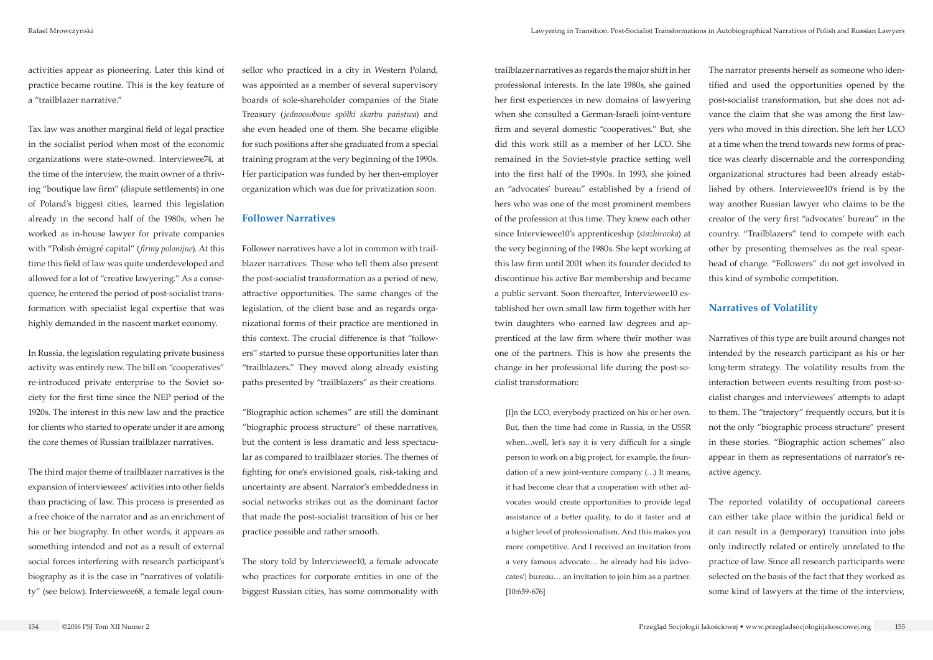activities appear as pioneering. Later this kind of practice became routine. This is the key feature of a "trailblazer narrative."

Tax law was another marginal field of legal practice in the socialist period when most of the economic organizations were state-owned. Interviewee74, at the time of the interview, the main owner of a thriving "boutique law firm" (dispute settlements) in one of Poland's biggest cities, learned this legislation already in the second half of the 1980s, when he worked as in-house lawyer for private companies with "Polish émigré capital" (*firmy polonijne*). At this time this field of law was quite underdeveloped and allowed for a lot of "creative lawyering." As a consequence, he entered the period of post-socialist transformation with specialist legal expertise that was highly demanded in the nascent market economy.

In Russia, the legislation regulating private business activity was entirely new. The bill on "cooperatives" re-introduced private enterprise to the Soviet society for the first time since the NEP period of the 1920s. The interest in this new law and the practice for clients who started to operate under it are among the core themes of Russian trailblazer narratives.

The third major theme of trailblazer narratives is the expansion of interviewees' activities into other fields than practicing of law. This process is presented as a free choice of the narrator and as an enrichment of his or her biography. In other words, it appears as something intended and not as a result of external social forces interfering with research participant's biography as it is the case in "narratives of volatility" (see below). Interviewee68, a female legal counsellor who practiced in a city in Western Poland, was appointed as a member of several supervisory boards of sole-shareholder companies of the State Treasury (*jednoosobowe spółki skarbu państwa*) and she even headed one of them. She became eligible for such positions after she graduated from a special training program at the very beginning of the 1990s. Her participation was funded by her then-employer organization which was due for privatization soon.

#### **Follower Narratives**

Follower narratives have a lot in common with trailblazer narratives. Those who tell them also present the post-socialist transformation as a period of new, attractive opportunities. The same changes of the legislation, of the client base and as regards organizational forms of their practice are mentioned in this context. The crucial difference is that "followers" started to pursue these opportunities later than "trailblazers." They moved along already existing paths presented by "trailblazers" as their creations.

"Biographic action schemes" are still the dominant "biographic process structure" of these narratives, but the content is less dramatic and less spectacular as compared to trailblazer stories. The themes of fighting for one's envisioned goals, risk-taking and uncertainty are absent. Narrator's embeddedness in social networks strikes out as the dominant factor that made the post-socialist transition of his or her practice possible and rather smooth.

The story told by Interviewee10, a female advocate who practices for corporate entities in one of the biggest Russian cities, has some commonality with

trailblazer narratives as regards the major shift in her professional interests. In the late 1980s, she gained her first experiences in new domains of lawyering when she consulted a German-Israeli joint-venture firm and several domestic "cooperatives." But, she did this work still as a member of her LCO. She remained in the Soviet-style practice setting well into the first half of the 1990s. In 1993, she joined an "advocates' bureau" established by a friend of hers who was one of the most prominent members of the profession at this time. They knew each other since Interviewee10's apprenticeship (*stazhirovka*) at the very beginning of the 1980s. She kept working at this law firm until 2001 when its founder decided to discontinue his active Bar membership and became a public servant. Soon thereafter, Interviewee10 established her own small law firm together with her twin daughters who earned law degrees and apprenticed at the law firm where their mother was one of the partners. This is how she presents the change in her professional life during the post-socialist transformation:

[I]n the LCO, everybody practiced on his or her own. But, then the time had come in Russia, in the USSR when…well, let's say it is very difficult for a single person to work on a big project, for example, the foundation of a new joint-venture company (…) It means, it had become clear that a cooperation with other advocates would create opportunities to provide legal assistance of a better quality, to do it faster and at a higher level of professionalism. And this makes you more competitive. And I received an invitation from a very famous advocate… he already had his {advocates'} bureau… an invitation to join him as a partner. [10:659-676]

The narrator presents herself as someone who identified and used the opportunities opened by the post-socialist transformation, but she does not advance the claim that she was among the first lawyers who moved in this direction. She left her LCO at a time when the trend towards new forms of practice was clearly discernable and the corresponding organizational structures had been already established by others. Interviewee10's friend is by the way another Russian lawyer who claims to be the creator of the very first "advocates' bureau" in the country. "Trailblazers" tend to compete with each other by presenting themselves as the real spearhead of change. "Followers" do not get involved in this kind of symbolic competition.

## **Narratives of Volatility**

Narratives of this type are built around changes not intended by the research participant as his or her long-term strategy. The volatility results from the interaction between events resulting from post-socialist changes and interviewees' attempts to adapt to them. The "trajectory" frequently occurs, but it is not the only "biographic process structure" present in these stories. "Biographic action schemes" also appear in them as representations of narrator's reactive agency.

The reported volatility of occupational careers can either take place within the juridical field or it can result in a (temporary) transition into jobs only indirectly related or entirely unrelated to the practice of law. Since all research participants were selected on the basis of the fact that they worked as some kind of lawyers at the time of the interview,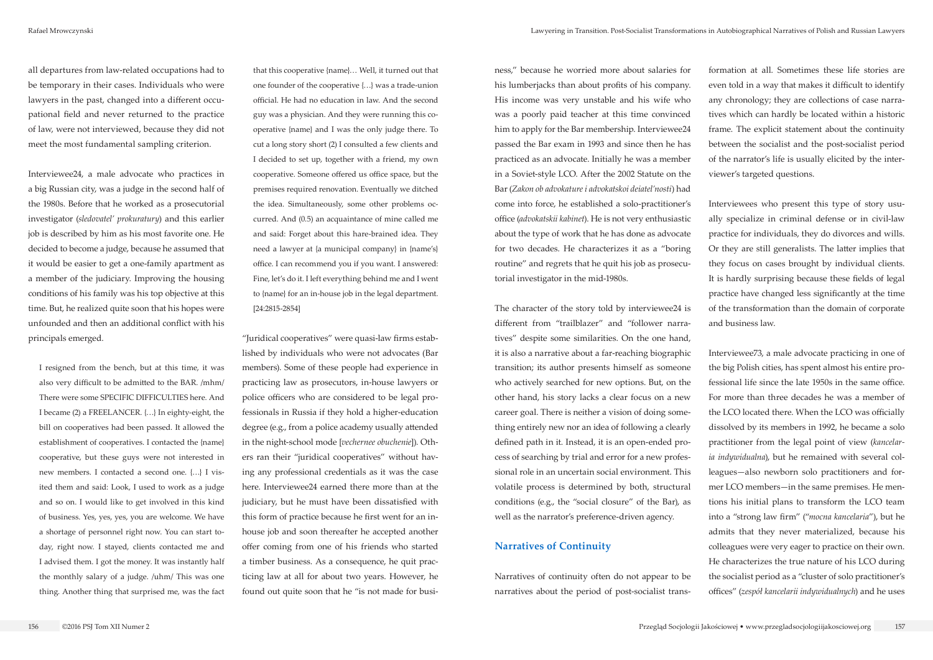all departures from law-related occupations had to be temporary in their cases. Individuals who were lawyers in the past, changed into a different occupational field and never returned to the practice of law, were not interviewed, because they did not meet the most fundamental sampling criterion.

Interviewee24, a male advocate who practices in a big Russian city, was a judge in the second half of the 1980s. Before that he worked as a prosecutorial investigator (*sledovatel' prokuratury*) and this earlier job is described by him as his most favorite one. He decided to become a judge, because he assumed that it would be easier to get a one-family apartment as a member of the judiciary. Improving the housing conditions of his family was his top objective at this time. But, he realized quite soon that his hopes were unfounded and then an additional conflict with his principals emerged.

I resigned from the bench, but at this time, it was also very difficult to be admitted to the BAR. /mhm/ There were some SPECIFIC DIFFICULTIES here. And I became (2) a FREELANCER. {…} In eighty-eight, the bill on cooperatives had been passed. It allowed the establishment of cooperatives. I contacted the {name} cooperative, but these guys were not interested in new members. I contacted a second one. {…} I visited them and said: Look, I used to work as a judge and so on. I would like to get involved in this kind of business. Yes, yes, yes, you are welcome. We have a shortage of personnel right now. You can start today, right now. I stayed, clients contacted me and I advised them. I got the money. It was instantly half the monthly salary of a judge. /uhm/ This was one thing. Another thing that surprised me, was the fact

that this cooperative {name}… Well, it turned out that one founder of the cooperative {…} was a trade-union official. He had no education in law. And the second guy was a physician. And they were running this cooperative {name} and I was the only judge there. To cut a long story short (2) I consulted a few clients and I decided to set up, together with a friend, my own cooperative. Someone offered us office space, but the premises required renovation. Eventually we ditched the idea. Simultaneously, some other problems occurred. And (0.5) an acquaintance of mine called me and said: Forget about this hare-brained idea. They need a lawyer at {a municipal company} in {name's} office. I can recommend you if you want. I answered: Fine, let's do it. I left everything behind me and I went to {name} for an in-house job in the legal department. [24:2815-2854]

"Juridical cooperatives" were quasi-law firms established by individuals who were not advocates (Bar members). Some of these people had experience in practicing law as prosecutors, in-house lawyers or police officers who are considered to be legal professionals in Russia if they hold a higher-education degree (e.g., from a police academy usually attended in the night-school mode [*vechernee obuchenie*]). Others ran their "juridical cooperatives" without having any professional credentials as it was the case here. Interviewee24 earned there more than at the judiciary, but he must have been dissatisfied with this form of practice because he first went for an inhouse job and soon thereafter he accepted another offer coming from one of his friends who started a timber business. As a consequence, he quit practicing law at all for about two years. However, he found out quite soon that he "is not made for business," because he worried more about salaries for his lumberjacks than about profits of his company. His income was very unstable and his wife who was a poorly paid teacher at this time convinced him to apply for the Bar membership. Interviewee24 passed the Bar exam in 1993 and since then he has practiced as an advocate. Initially he was a member in a Soviet-style LCO. After the 2002 Statute on the Bar (*Zakon ob advokature i advokatskoi deiatel'nosti*) had come into force, he established a solo-practitioner's office (*advokatskii kabinet*). He is not very enthusiastic about the type of work that he has done as advocate for two decades. He characterizes it as a "boring routine" and regrets that he quit his job as prosecutorial investigator in the mid-1980s.

The character of the story told by interviewee24 is different from "trailblazer" and "follower narratives" despite some similarities. On the one hand, it is also a narrative about a far-reaching biographic transition; its author presents himself as someone who actively searched for new options. But, on the other hand, his story lacks a clear focus on a new career goal. There is neither a vision of doing something entirely new nor an idea of following a clearly defined path in it. Instead, it is an open-ended process of searching by trial and error for a new professional role in an uncertain social environment. This volatile process is determined by both, structural conditions (e.g., the "social closure" of the Bar), as well as the narrator's preference-driven agency.

## **Narratives of Continuity**

Narratives of continuity often do not appear to be narratives about the period of post-socialist trans-

formation at all. Sometimes these life stories are even told in a way that makes it difficult to identify any chronology; they are collections of case narratives which can hardly be located within a historic frame. The explicit statement about the continuity between the socialist and the post-socialist period of the narrator's life is usually elicited by the interviewer's targeted questions.

Interviewees who present this type of story usually specialize in criminal defense or in civil-law practice for individuals, they do divorces and wills. Or they are still generalists. The latter implies that they focus on cases brought by individual clients. It is hardly surprising because these fields of legal practice have changed less significantly at the time of the transformation than the domain of corporate and business law.

Interviewee73, a male advocate practicing in one of the big Polish cities, has spent almost his entire professional life since the late 1950s in the same office. For more than three decades he was a member of the LCO located there. When the LCO was officially dissolved by its members in 1992, he became a solo practitioner from the legal point of view (*kancelaria indywidualna*), but he remained with several colleagues—also newborn solo practitioners and former LCO members—in the same premises. He mentions his initial plans to transform the LCO team into a "strong law firm" ("*mocna kancelaria*"), but he admits that they never materialized, because his colleagues were very eager to practice on their own. He characterizes the true nature of his LCO during the socialist period as a "cluster of solo practitioner's offices" (*zespół kancelarii indywidualnych*) and he uses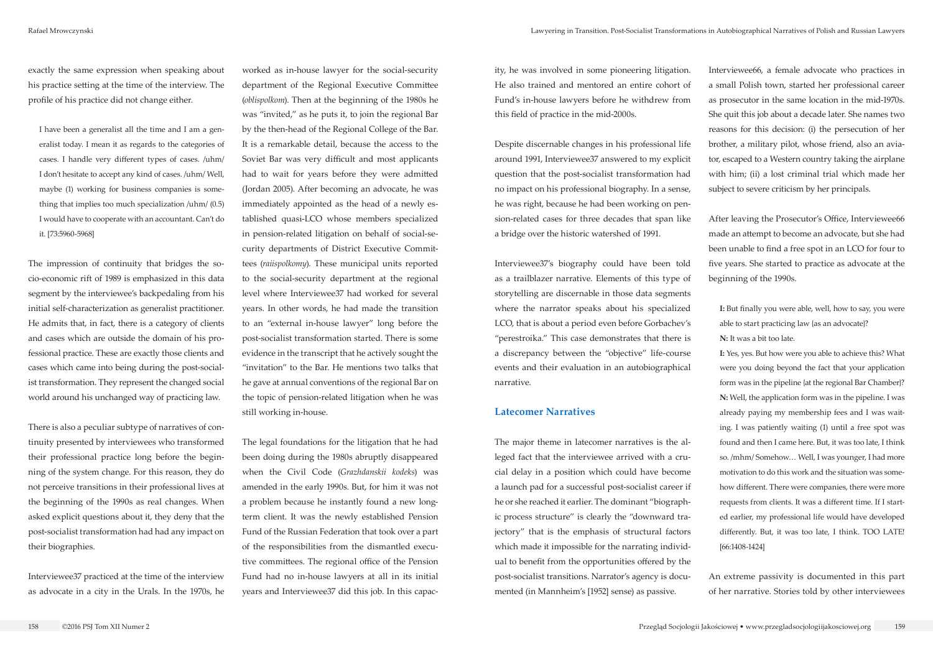exactly the same expression when speaking about his practice setting at the time of the interview. The profile of his practice did not change either.

I have been a generalist all the time and I am a generalist today. I mean it as regards to the categories of cases. I handle very different types of cases. /uhm/ I don't hesitate to accept any kind of cases. /uhm/ Well, maybe (1) working for business companies is something that implies too much specialization /uhm/ (0.5) I would have to cooperate with an accountant. Can't do it. [73:5960-5968]

The impression of continuity that bridges the socio-economic rift of 1989 is emphasized in this data segment by the interviewee's backpedaling from his initial self-characterization as generalist practitioner. He admits that, in fact, there is a category of clients and cases which are outside the domain of his professional practice. These are exactly those clients and cases which came into being during the post-socialist transformation. They represent the changed social world around his unchanged way of practicing law.

There is also a peculiar subtype of narratives of continuity presented by interviewees who transformed their professional practice long before the beginning of the system change. For this reason, they do not perceive transitions in their professional lives at the beginning of the 1990s as real changes. When asked explicit questions about it, they deny that the post-socialist transformation had had any impact on their biographies.

Interviewee37 practiced at the time of the interview as advocate in a city in the Urals. In the 1970s, he

worked as in-house lawyer for the social-security department of the Regional Executive Committee (*oblispolkom*). Then at the beginning of the 1980s he was "invited," as he puts it, to join the regional Bar by the then-head of the Regional College of the Bar. It is a remarkable detail, because the access to the Soviet Bar was very difficult and most applicants had to wait for years before they were admitted (Jordan 2005). After becoming an advocate, he was immediately appointed as the head of a newly established quasi-LCO whose members specialized in pension-related litigation on behalf of social-security departments of District Executive Committees (*raiispolkomy*). These municipal units reported to the social-security department at the regional level where Interviewee37 had worked for several years. In other words, he had made the transition to an "external in-house lawyer" long before the post-socialist transformation started. There is some evidence in the transcript that he actively sought the "invitation" to the Bar. He mentions two talks that he gave at annual conventions of the regional Bar on the topic of pension-related litigation when he was still working in-house.

The legal foundations for the litigation that he had been doing during the 1980s abruptly disappeared when the Civil Code (*Grazhdanskii kodeks*) was amended in the early 1990s. But, for him it was not a problem because he instantly found a new longterm client. It was the newly established Pension Fund of the Russian Federation that took over a part of the responsibilities from the dismantled executive committees. The regional office of the Pension Fund had no in-house lawyers at all in its initial years and Interviewee37 did this job. In this capacity, he was involved in some pioneering litigation. He also trained and mentored an entire cohort of Fund's in-house lawyers before he withdrew from this field of practice in the mid-2000s.

Despite discernable changes in his professional life around 1991, Interviewee37 answered to my explicit question that the post-socialist transformation had no impact on his professional biography. In a sense, he was right, because he had been working on pension-related cases for three decades that span like a bridge over the historic watershed of 1991.

Interviewee37's biography could have been told as a trailblazer narrative. Elements of this type of storytelling are discernable in those data segments where the narrator speaks about his specialized LCO, that is about a period even before Gorbachev's "perestroika." This case demonstrates that there is a discrepancy between the "objective" life-course events and their evaluation in an autobiographical narrative.

## **Latecomer Narratives**

The major theme in latecomer narratives is the alleged fact that the interviewee arrived with a crucial delay in a position which could have become a launch pad for a successful post-socialist career if he or she reached it earlier. The dominant "biographic process structure" is clearly the "downward trajectory" that is the emphasis of structural factors which made it impossible for the narrating individual to benefit from the opportunities offered by the post-socialist transitions. Narrator's agency is documented (in Mannheim's [1952] sense) as passive.

Interviewee66, a female advocate who practices in a small Polish town, started her professional career as prosecutor in the same location in the mid-1970s. She quit this job about a decade later. She names two reasons for this decision: (i) the persecution of her brother, a military pilot, whose friend, also an aviator, escaped to a Western country taking the airplane with him; (ii) a lost criminal trial which made her subject to severe criticism by her principals.

After leaving the Prosecutor's Office, Interviewee66 made an attempt to become an advocate, but she had been unable to find a free spot in an LCO for four to five years. She started to practice as advocate at the beginning of the 1990s.

**I:** But finally you were able, well, how to say, you were able to start practicing law {as an advocate}? **N:** It was a bit too late.

**I:** Yes, yes. But how were you able to achieve this? What were you doing beyond the fact that your application form was in the pipeline {at the regional Bar Chamber}? **N:** Well, the application form was in the pipeline. I was already paying my membership fees and I was waiting. I was patiently waiting (1) until a free spot was found and then I came here. But, it was too late, I think so. /mhm/ Somehow… Well, I was younger, I had more motivation to do this work and the situation was somehow different. There were companies, there were more requests from clients. It was a different time. If I started earlier, my professional life would have developed differently. But, it was too late, I think. TOO LATE! [66:1408-1424]

An extreme passivity is documented in this part of her narrative. Stories told by other interviewees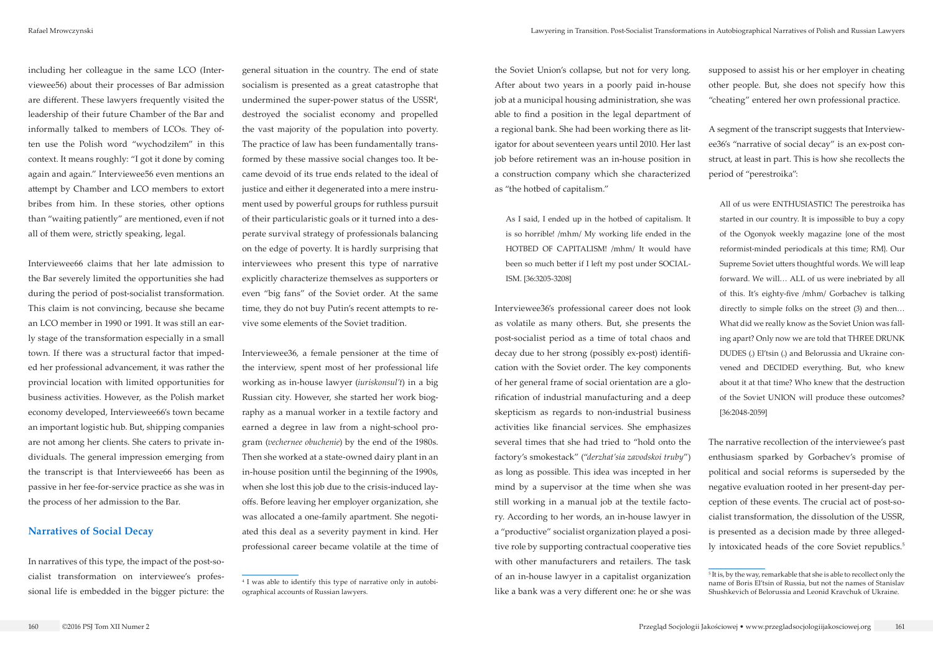including her colleague in the same LCO (Interviewee56) about their processes of Bar admission are different. These lawyers frequently visited the leadership of their future Chamber of the Bar and informally talked to members of LCOs. They often use the Polish word "wychodziłem" in this context. It means roughly: "I got it done by coming again and again." Interviewee56 even mentions an attempt by Chamber and LCO members to extort bribes from him. In these stories, other options than "waiting patiently" are mentioned, even if not all of them were, strictly speaking, legal.

Interviewee66 claims that her late admission to the Bar severely limited the opportunities she had during the period of post-socialist transformation. This claim is not convincing, because she became an LCO member in 1990 or 1991. It was still an early stage of the transformation especially in a small town. If there was a structural factor that impeded her professional advancement, it was rather the provincial location with limited opportunities for business activities. However, as the Polish market economy developed, Interviewee66's town became an important logistic hub. But, shipping companies are not among her clients. She caters to private individuals. The general impression emerging from the transcript is that Interviewee66 has been as passive in her fee-for-service practice as she was in the process of her admission to the Bar.

#### **Narratives of Social Decay**

In narratives of this type, the impact of the post-socialist transformation on interviewee's professional life is embedded in the bigger picture: the

general situation in the country. The end of state socialism is presented as a great catastrophe that undermined the super-power status of the USSR<sup>4</sup>, destroyed the socialist economy and propelled the vast majority of the population into poverty. The practice of law has been fundamentally transformed by these massive social changes too. It became devoid of its true ends related to the ideal of justice and either it degenerated into a mere instrument used by powerful groups for ruthless pursuit of their particularistic goals or it turned into a desperate survival strategy of professionals balancing on the edge of poverty. It is hardly surprising that interviewees who present this type of narrative explicitly characterize themselves as supporters or even "big fans" of the Soviet order. At the same time, they do not buy Putin's recent attempts to revive some elements of the Soviet tradition.

Interviewee36, a female pensioner at the time of the interview, spent most of her professional life working as in-house lawyer (*iuriskonsul't*) in a big Russian city. However, she started her work biography as a manual worker in a textile factory and earned a degree in law from a night-school program (*vechernee obuchenie*) by the end of the 1980s. Then she worked at a state-owned dairy plant in an in-house position until the beginning of the 1990s, when she lost this job due to the crisis-induced layoffs. Before leaving her employer organization, she was allocated a one-family apartment. She negotiated this deal as a severity payment in kind. Her professional career became volatile at the time of

The narrative recollection of the interviewee's past enthusiasm sparked by Gorbachev's promise of political and social reforms is superseded by the negative evaluation rooted in her present-day perception of these events. The crucial act of post-socialist transformation, the dissolution of the USSR, is presented as a decision made by three allegedly intoxicated heads of the core Soviet republics.<sup>5</sup>

the Soviet Union's collapse, but not for very long. After about two years in a poorly paid in-house job at a municipal housing administration, she was able to find a position in the legal department of a regional bank. She had been working there as litigator for about seventeen years until 2010. Her last job before retirement was an in-house position in a construction company which she characterized as "the hotbed of capitalism."

As I said, I ended up in the hotbed of capitalism. It is so horrible! /mhm/ My working life ended in the HOTBED OF CAPITALISM! /mhm/ It would have been so much better if I left my post under SOCIAL-ISM. [36:3205-3208]

Interviewee36's professional career does not look as volatile as many others. But, she presents the post-socialist period as a time of total chaos and decay due to her strong (possibly ex-post) identification with the Soviet order. The key components of her general frame of social orientation are a glorification of industrial manufacturing and a deep skepticism as regards to non-industrial business activities like financial services. She emphasizes several times that she had tried to "hold onto the factory's smokestack" ("*derzhat'sia zavodskoi truby*") as long as possible. This idea was incepted in her mind by a supervisor at the time when she was still working in a manual job at the textile factory. According to her words, an in-house lawyer in a "productive" socialist organization played a positive role by supporting contractual cooperative ties with other manufacturers and retailers. The task of an in-house lawyer in a capitalist organization like a bank was a very different one: he or she was

supposed to assist his or her employer in cheating other people. But, she does not specify how this "cheating" entered her own professional practice.

A segment of the transcript suggests that Interviewee36's "narrative of social decay" is an ex-post construct, at least in part. This is how she recollects the period of "perestroika":

All of us were ENTHUSIASTIC! The perestroika has started in our country. It is impossible to buy a copy of the Ogonyok weekly magazine {one of the most reformist-minded periodicals at this time; RM}. Our Supreme Soviet utters thoughtful words. We will leap forward. We will… ALL of us were inebriated by all of this. It's eighty-five /mhm/ Gorbachev is talking directly to simple folks on the street (3) and then… What did we really know as the Soviet Union was falling apart? Only now we are told that THREE DRUNK DUDES (.) El'tsin (.) and Belorussia and Ukraine convened and DECIDED everything. But, who knew about it at that time? Who knew that the destruction of the Soviet UNION will produce these outcomes? [36:2048-2059]

<sup>4</sup> I was able to identify this type of narrative only in autobiographical accounts of Russian lawyers.

<sup>&</sup>lt;sup>5</sup> It is, by the way, remarkable that she is able to recollect only the name of Boris El'tsin of Russia, but not the names of Stanislav Shushkevich of Belorussia and Leonid Kravchuk of Ukraine.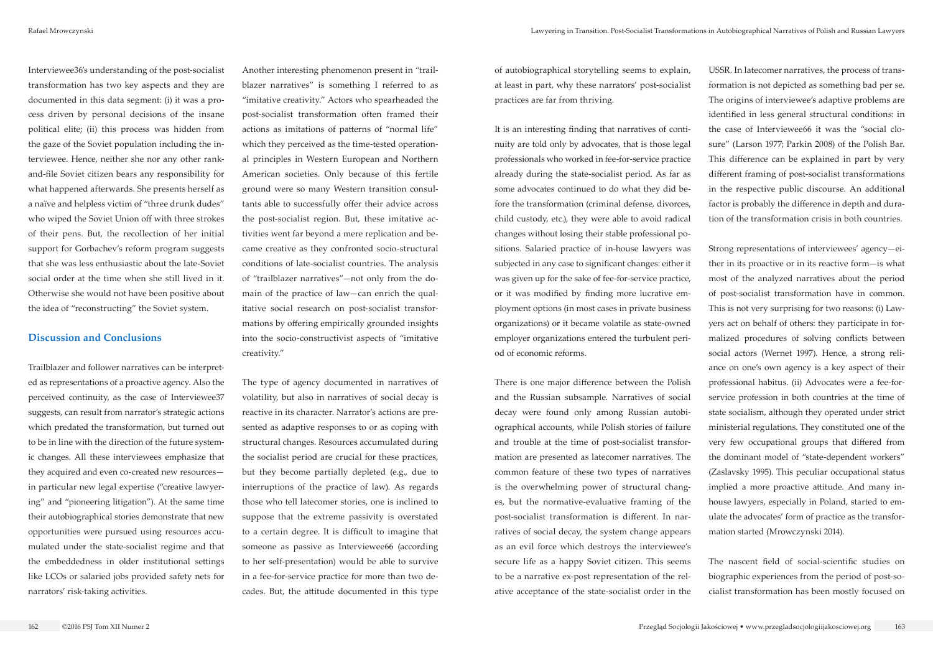of autobiographical storytelling seems to explain, at least in part, why these narrators' post-socialist practices are far from thriving.

It is an interesting finding that narratives of continuity are told only by advocates, that is those legal professionals who worked in fee-for-service practice already during the state-socialist period. As far as some advocates continued to do what they did before the transformation (criminal defense, divorces, child custody, etc.), they were able to avoid radical changes without losing their stable professional positions. Salaried practice of in-house lawyers was subjected in any case to significant changes: either it was given up for the sake of fee-for-service practice, or it was modified by finding more lucrative employment options (in most cases in private business organizations) or it became volatile as state-owned employer organizations entered the turbulent period of economic reforms.

There is one major difference between the Polish and the Russian subsample. Narratives of social decay were found only among Russian autobiographical accounts, while Polish stories of failure and trouble at the time of post-socialist transformation are presented as latecomer narratives. The common feature of these two types of narratives is the overwhelming power of structural changes, but the normative-evaluative framing of the post-socialist transformation is different. In narratives of social decay, the system change appears as an evil force which destroys the interviewee's secure life as a happy Soviet citizen. This seems to be a narrative ex-post representation of the relative acceptance of the state-socialist order in the

USSR. In latecomer narratives, the process of transformation is not depicted as something bad per se. The origins of interviewee's adaptive problems are identified in less general structural conditions: in the case of Interviewee66 it was the "social closure" (Larson 1977; Parkin 2008) of the Polish Bar. This difference can be explained in part by very different framing of post-socialist transformations in the respective public discourse. An additional factor is probably the difference in depth and duration of the transformation crisis in both countries.

Strong representations of interviewees' agency—either in its proactive or in its reactive form—is what most of the analyzed narratives about the period of post-socialist transformation have in common. This is not very surprising for two reasons: (i) Lawyers act on behalf of others: they participate in formalized procedures of solving conflicts between social actors (Wernet 1997). Hence, a strong reliance on one's own agency is a key aspect of their professional habitus. (ii) Advocates were a fee-forservice profession in both countries at the time of state socialism, although they operated under strict ministerial regulations. They constituted one of the very few occupational groups that differed from the dominant model of "state-dependent workers" (Zaslavsky 1995). This peculiar occupational status implied a more proactive attitude. And many inhouse lawyers, especially in Poland, started to emulate the advocates' form of practice as the transformation started (Mrowczynski 2014).

The nascent field of social-scientific studies on biographic experiences from the period of post-socialist transformation has been mostly focused on

Interviewee36's understanding of the post-socialist transformation has two key aspects and they are documented in this data segment: (i) it was a process driven by personal decisions of the insane political elite; (ii) this process was hidden from the gaze of the Soviet population including the interviewee. Hence, neither she nor any other rankand-file Soviet citizen bears any responsibility for what happened afterwards. She presents herself as a naïve and helpless victim of "three drunk dudes" who wiped the Soviet Union off with three strokes of their pens. But, the recollection of her initial support for Gorbachev's reform program suggests that she was less enthusiastic about the late-Soviet social order at the time when she still lived in it. Otherwise she would not have been positive about the idea of "reconstructing" the Soviet system.

## **Discussion and Conclusions**

Trailblazer and follower narratives can be interpreted as representations of a proactive agency. Also the perceived continuity, as the case of Interviewee37 suggests, can result from narrator's strategic actions which predated the transformation, but turned out to be in line with the direction of the future systemic changes. All these interviewees emphasize that they acquired and even co-created new resources in particular new legal expertise ("creative lawyering" and "pioneering litigation"). At the same time their autobiographical stories demonstrate that new opportunities were pursued using resources accumulated under the state-socialist regime and that the embeddedness in older institutional settings like LCOs or salaried jobs provided safety nets for narrators' risk-taking activities.

Another interesting phenomenon present in "trailblazer narratives" is something I referred to as "imitative creativity." Actors who spearheaded the post-socialist transformation often framed their actions as imitations of patterns of "normal life" which they perceived as the time-tested operational principles in Western European and Northern American societies. Only because of this fertile ground were so many Western transition consultants able to successfully offer their advice across the post-socialist region. But, these imitative activities went far beyond a mere replication and became creative as they confronted socio-structural conditions of late-socialist countries. The analysis of "trailblazer narratives"—not only from the domain of the practice of law—can enrich the qualitative social research on post-socialist transformations by offering empirically grounded insights into the socio-constructivist aspects of "imitative creativity."

The type of agency documented in narratives of volatility, but also in narratives of social decay is reactive in its character. Narrator's actions are presented as adaptive responses to or as coping with structural changes. Resources accumulated during the socialist period are crucial for these practices, but they become partially depleted (e.g., due to interruptions of the practice of law). As regards those who tell latecomer stories, one is inclined to suppose that the extreme passivity is overstated to a certain degree. It is difficult to imagine that someone as passive as Interviewee66 (according to her self-presentation) would be able to survive in a fee-for-service practice for more than two decades. But, the attitude documented in this type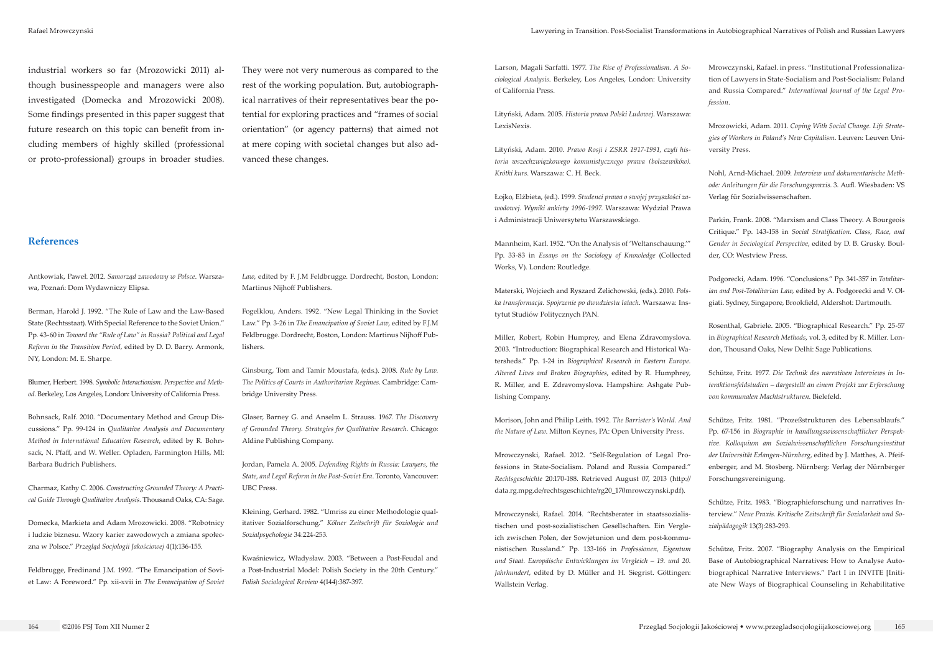Antkowiak, Paweł. 2012. *Samorząd zawodowy w Polsce*. Warszawa, Poznań: Dom Wydawniczy Elipsa.

Berman, Harold J. 1992. "The Rule of Law and the Law-Based State (Rechtsstaat). With Special Reference to the Soviet Union." Pp. 43-60 in *Toward the "Rule of Law" in Russia? Political and Legal Reform in the Transition Period*, edited by D. D. Barry. Armonk, NY, London: M. E. Sharpe.

Blumer, Herbert. 1998. *Symbolic Interactionism. Perspective and Method*. Berkeley, Los Angeles, London: University of California Press.

Bohnsack, Ralf. 2010. "Documentary Method and Group Discussions." Pp. 99-124 in *Qualitative Analysis and Documentary Method in International Education Research*, edited by R. Bohnsack, N. Pfaff, and W. Weller. Opladen, Farmington Hills, MI: Barbara Budrich Publishers.

Charmaz, Kathy C. 2006. *Constructing Grounded Theory: A Practical Guide Through Qualitative Analysis*. Thousand Oaks, CA: Sage.

Domecka, Markieta and Adam Mrozowicki. 2008. "Robotnicy i ludzie biznesu. Wzory karier zawodowych a zmiana społeczna w Polsce." *Przegląd Socjologii Jakościowej* 4(1):136-155.

Feldbrugge, Fredinand J.M. 1992. "The Emancipation of Soviet Law: A Foreword." Pp. xii-xvii in *The Emancipation of Soviet*  *Law*, edited by F. J.M Feldbrugge. Dordrecht, Boston, London: Martinus Nijhoff Publishers.

Fogelklou, Anders. 1992. "New Legal Thinking in the Soviet Law." Pp. 3-26 in *The Emancipation of Soviet Law*, edited by F.J.M Feldbrugge. Dordrecht, Boston, London: Martinus Nijhoff Publishers.

Ginsburg, Tom and Tamir Moustafa, (eds.). 2008. *Rule by Law. The Politics of Courts in Authoritarian Regimes*. Cambridge: Cambridge University Press.

Glaser, Barney G. and Anselm L. Strauss. 1967. *The Discovery of Grounded Theory. Strategies for Qualitative Research*. Chicago: Aldine Publishing Company.

Jordan, Pamela A. 2005. *Defending Rights in Russia: Lawyers, the State, and Legal Reform in the Post-Soviet Era*. Toronto, Vancouver: UBC Press.

Kleining, Gerhard. 1982. "Umriss zu einer Methodologie qualitativer Sozialforschung." *Kölner Zeitschrift für Soziologie und Sozialpsychologie* 34:224-253.

Kwaśniewicz, Władysław. 2003. "Between a Post-Feudal and a Post-Industrial Model: Polish Society in the 20th Century." *Polish Sociological Review* 4(144):387-397.

industrial workers so far (Mrozowicki 2011) although businesspeople and managers were also investigated (Domecka and Mrozowicki 2008). Some findings presented in this paper suggest that future research on this topic can benefit from including members of highly skilled (professional or proto-professional) groups in broader studies.

They were not very numerous as compared to the rest of the working population. But, autobiographical narratives of their representatives bear the potential for exploring practices and "frames of social orientation" (or agency patterns) that aimed not at mere coping with societal changes but also advanced these changes.

**References**

Larson, Magali Sarfatti. 1977. *The Rise of Professionalism. A Sociological Analysis*. Berkeley, Los Angeles, London: University of California Press.

Lityński, Adam. 2005. *Historia prawa Polski Ludowej*. Warszawa: LexisNexis.

Lityński, Adam. 2010. *Prawo Rosji i ZSRR 1917-1991, czyli historia wszechzwiązkowego komunistycznego prawa (bolszewików). Krótki kurs*. Warszawa: C. H. Beck.

Łojko, Elżbieta, (ed.). 1999. *Studenci prawa o swojej przyszłości zawodowej. Wyniki ankiety 1996-1997*. Warszawa: Wydział Prawa i Administracji Uniwersytetu Warszawskiego.

Mannheim, Karl. 1952. "On the Analysis of 'Weltanschauung.'" Pp. 33-83 in *Essays on the Sociology of Knowledge* (Collected Works, V). London: Routledge.

Materski, Wojciech and Ryszard Żelichowski, (eds.). 2010. *Polska transformacja. Spojrzenie po dwudziestu latach*. Warszawa: Instytut Studiów Politycznych PAN.

Miller, Robert, Robin Humprey, and Elena Zdravomyslova. 2003. "Introduction: Biographical Research and Historical Watersheds." Pp. 1-24 in *Biographical Research in Eastern Europe. Altered Lives and Broken Biographies*, edited by R. Humphrey, R. Miller, and E. Zdravomyslova. Hampshire: Ashgate Publishing Company.

Morison, John and Philip Leith. 1992. *The Barrister's World. And the Nature of Law*. Milton Keynes, PA: Open University Press.

Mrowczynski, Rafael. 2012. "Self-Regulation of Legal Professions in State-Socialism. Poland and Russia Compared." *Rechtsgeschichte* 20:170-188. Retrieved August 07, 2013 (http:// data.rg.mpg.de/rechtsgeschichte/rg20\_170mrowczynski.pdf).

Mrowczynski, Rafael. 2014. "Rechtsberater in staatssozialistischen und post-sozialistischen Gesellschaften. Ein Vergleich zwischen Polen, der Sowjetunion und dem post-kommunistischen Russland." Pp. 133-166 in *Professionen, Eigentum und Staat. Europäische Entwicklungen im Vergleich – 19. und 20. Jahrhundert*, edited by D. Müller and H. Siegrist. Göttingen: Wallstein Verlag.

Mrowczynski, Rafael. in press. "Institutional Professionalization of Lawyers in State-Socialism and Post-Socialism: Poland and Russia Compared." *International Journal of the Legal Profession*.

Mrozowicki, Adam. 2011. *Coping With Social Change. Life Strategies of Workers in Poland's New Capitalism*. Leuven: Leuven University Press.

Nohl, Arnd-Michael. 2009. *Interview und dokumentarische Methode: Anleitungen für die Forschungspraxis*. 3. Aufl. Wiesbaden: VS Verlag für Sozialwissenschaften.

Parkin, Frank. 2008. "Marxism and Class Theory. A Bourgeois Critique." Pp. 143-158 in *Social Stratification. Class, Race, and Gender in Sociological Perspective*, edited by D. B. Grusky. Boulder, CO: Westview Press.

Podgorecki, Adam. 1996. "Conclusions." Pp. 341-357 in *Totalitarian and Post-Totalitarian Law*, edited by A. Podgorecki and V. Olgiati. Sydney, Singapore, Brookfield, Aldershot: Dartmouth.

Rosenthal, Gabriele. 2005. "Biographical Research." Pp. 25-57 in *Biographical Research Methods*, vol. 3, edited by R. Miller. London, Thousand Oaks, New Delhi: Sage Publications.

Schütze, Fritz. 1977. *Die Technik des narrativen Interviews in Interaktionsfeldstudien – dargestellt an einem Projekt zur Erforschung von kommunalen Machtstrukturen*. Bielefeld.

Schütze, Fritz. 1981. "Prozeßstrukturen des Lebensablaufs." Pp. 67-156 in *Biographie in handlungswissenschaftlicher Perspektive. Kolloquium am Sozialwissenschaftlichen Forschungsinstitut der Universität Erlangen-Nürnberg*, edited by J. Matthes, A. Pfeifenberger, and M. Stosberg. Nürnberg: Verlag der Nürnberger Forschungsvereinigung.

Schütze, Fritz. 1983. "Biographieforschung und narratives Interview." *Neue Praxis. Kritische Zeitschrift für Sozialarbeit und Sozialpädagogik* 13(3):283-293.

Schütze, Fritz. 2007. "Biography Analysis on the Empirical Base of Autobiographical Narratives: How to Analyse Autobiographical Narrative Interviews." Part I in INVITE [Initiate New Ways of Biographical Counseling in Rehabilitative